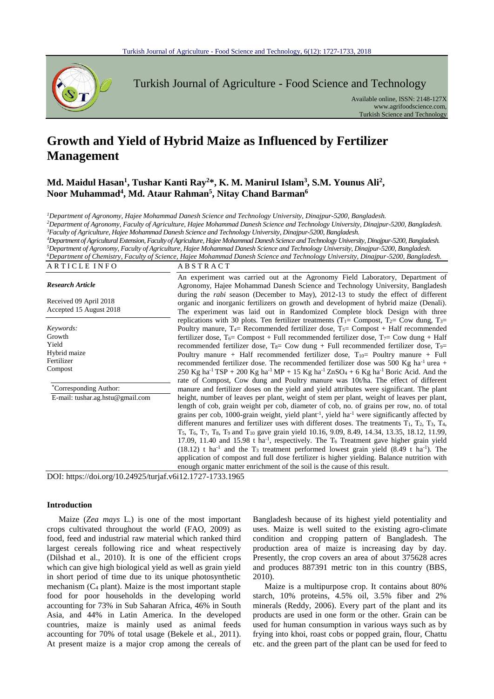

Turkish Journal of Agriculture - Food Science and Technology

Available online, ISSN: 2148-127X www.agrifoodscience.com, Turkish Science and Technology

# **Growth and Yield of Hybrid Maize as Influenced by Fertilizer Management**

# **Md. Maidul Hasan<sup>1</sup> , Tushar Kanti Ray<sup>2</sup>\*, K. M. Manirul Islam<sup>3</sup> , S.M. Younus Ali<sup>2</sup> , Noor Muhammad<sup>4</sup> , Md. Ataur Rahman<sup>5</sup> , Nitay Chand Barman<sup>6</sup>**

*<sup>1</sup>Department of Agronomy, Hajee Mohammad Danesh Science and Technology University, Dinajpur-5200, Bangladesh. <sup>2</sup>Department of Agronomy, Faculty of Agriculture, Hajee Mohammad Danesh Science and Technology University, Dinajpur-5200, Bangladesh. <sup>3</sup>Faculty of Agriculture, Hajee Mohammad Danesh Science and Technology University, Dinajpur-5200, Bangladesh.*

*<sup>4</sup>Department of Agricultural Extension, Faculty of Agriculture, Hajee Mohammad Danesh Science and Technology University, Dinajpur-5200, Bangladesh. <sup>5</sup>Department of Agronomy, Faculty of Agriculture, Hajee Mohammad Danesh Science and Technology University, Dinajpur-5200, Bangladesh. <sup>6</sup>Department of Chemistry, Faculty of Science, Hajee Mohammad Danesh Science and Technology University, Dinajpur-5200, Bangladesh.*

|              |          | — Дерантен от Спетимн у, 1 асин у от детенее, 11аке топанта Динем денете ана тесниоде у Опистми, Динарит-Э200, Дангиасм. |  |
|--------------|----------|--------------------------------------------------------------------------------------------------------------------------|--|
| ARTICLE INFO | ABSTRACT |                                                                                                                          |  |

| <b>Research Article</b><br>Received 09 April 2018<br>Accepted 15 August 2018                                                        | An experiment was carried out at the Agronomy Field Laboratory, Department of<br>Agronomy, Hajee Mohammad Danesh Science and Technology University, Bangladesh<br>during the <i>rabi</i> season (December to May), 2012-13 to study the effect of different<br>organic and inorganic fertilizers on growth and development of hybrid maize (Denali).<br>The experiment was laid out in Randomized Complete block Design with three                                                                                                                                                                                                                                                                                                                                                                                                                                                                                                                                                                                                                                                                                                                                                                                                                                                                                                                                                                                                                                                                                                                                                                                                                                                                                                                                                                                                                                                                                                                 |
|-------------------------------------------------------------------------------------------------------------------------------------|----------------------------------------------------------------------------------------------------------------------------------------------------------------------------------------------------------------------------------------------------------------------------------------------------------------------------------------------------------------------------------------------------------------------------------------------------------------------------------------------------------------------------------------------------------------------------------------------------------------------------------------------------------------------------------------------------------------------------------------------------------------------------------------------------------------------------------------------------------------------------------------------------------------------------------------------------------------------------------------------------------------------------------------------------------------------------------------------------------------------------------------------------------------------------------------------------------------------------------------------------------------------------------------------------------------------------------------------------------------------------------------------------------------------------------------------------------------------------------------------------------------------------------------------------------------------------------------------------------------------------------------------------------------------------------------------------------------------------------------------------------------------------------------------------------------------------------------------------------------------------------------------------------------------------------------------------|
| Keywords:<br>Growth<br>Yield<br>Hybrid maize<br>Fertilizer<br>Compost<br>*Corresponding Author:<br>E-mail: tushar.ag.hstu@gmail.com | replications with 30 plots. Ten fertilizer treatments ( $T_1$ = Compost, $T_2$ = Cow dung, $T_3$ =<br>Poultry manure, $T_4$ Recommended fertilizer dose, $T_5$ Compost + Half recommended<br>fertilizer dose, $T_6$ Compost + Full recommended fertilizer dose, $T_7$ Cow dung + Half<br>recommended fertilizer dose, $T_{8}$ Cow dung + Full recommended fertilizer dose, $T_{9}$<br>Poultry manure + Half recommended fertilizer dose, $T_{10}$ Poultry manure + Full<br>recommended fertilizer dose. The recommended fertilizer dose was 500 Kg ha <sup>-1</sup> urea +<br>250 Kg ha <sup>-1</sup> TSP + 200 Kg ha <sup>-1</sup> MP + 15 Kg ha <sup>-1</sup> ZnSO <sub>4</sub> + 6 Kg ha <sup>-1</sup> Boric Acid. And the<br>rate of Compost, Cow dung and Poultry manure was 10tha. The effect of different<br>manure and fertilizer doses on the yield and yield attributes were significant. The plant<br>height, number of leaves per plant, weight of stem per plant, weight of leaves per plant,<br>length of cob, grain weight per cob, diameter of cob, no. of grains per row, no. of total<br>grains per cob, 1000-grain weight, yield plant <sup>-1</sup> , yield ha <sup>-1</sup> were significantly affected by<br>different manures and fertilizer uses with different doses. The treatments $T_1$ , $T_2$ , $T_3$ , $T_4$ ,<br>T <sub>5</sub> , T <sub>6</sub> , T <sub>7</sub> , T <sub>8</sub> , T <sub>9</sub> and T <sub>10</sub> gave grain yield 10.16, 9.09, 8.49, 14.34, 13.35, 18.12, 11.99,<br>17.09, 11.40 and 15.98 t ha <sup>-1</sup> , respectively. The $T_6$ Treatment gave higher grain yield<br>$(18.12)$ t ha <sup>-1</sup> and the T <sub>3</sub> treatment performed lowest grain yield $(8.49 \text{ t} \text{ ha}^{-1})$ . The<br>application of compost and full dose fertilizer is higher yielding. Balance nutrition with<br>enough organic matter enrichment of the soil is the cause of this result. |

DOI: https://doi.org/10.24925/turjaf.v6i12.1727-1733.1965

#### **Introduction**

Maize (*Zea mays* L.) is one of the most important crops cultivated throughout the world (FAO, 2009) as food, feed and industrial raw material which ranked third largest cereals following rice and wheat respectively (Dilshad et al., 2010). It is one of the efficient crops which can give high biological yield as well as grain yield in short period of time due to its unique photosynthetic mechanism  $(C_4$  plant). Maize is the most important staple food for poor households in the developing world accounting for 73% in Sub Saharan Africa, 46% in South Asia, and 44% in Latin America. In the developed countries, maize is mainly used as animal feeds accounting for 70% of total usage (Bekele et al*.,* 2011). At present maize is a major crop among the cereals of

Bangladesh because of its highest yield potentiality and uses. Maize is well suited to the existing agro-climate condition and cropping pattern of Bangladesh. The production area of maize is increasing day by day. Presently, the crop covers an area of about 375628 acres and produces 887391 metric ton in this country (BBS, 2010).

Maize is a multipurpose crop. It contains about 80% starch, 10% proteins, 4.5% oil, 3.5% fiber and 2% minerals (Reddy, 2006). Every part of the plant and its products are used in one form or the other. Grain can be used for human consumption in various ways such as by frying into khoi, roast cobs or popped grain, flour, Chattu etc. and the green part of the plant can be used for feed to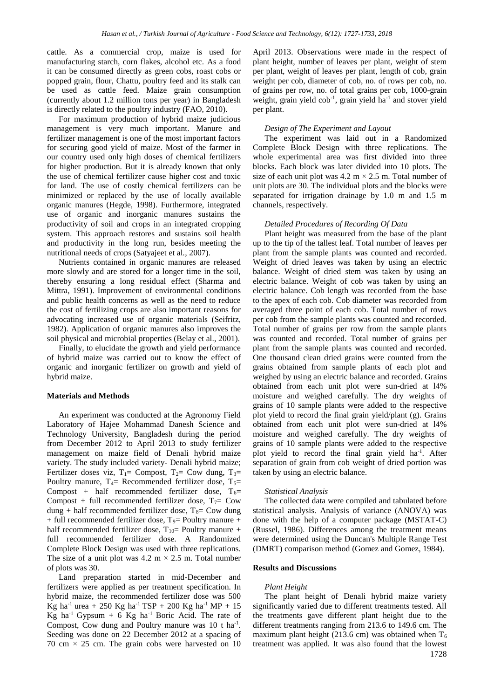cattle. As a commercial crop, maize is used for manufacturing starch, corn flakes, alcohol etc. As a food it can be consumed directly as green cobs, roast cobs or popped grain, flour, Chattu, poultry feed and its stalk can be used as cattle feed. Maize grain consumption (currently about 1.2 million tons per year) in Bangladesh is directly related to the poultry industry (FAO, 2010).

For maximum production of hybrid maize judicious management is very much important. Manure and fertilizer management is one of the most important factors for securing good yield of maize. Most of the farmer in our country used only high doses of chemical fertilizers for higher production. But it is already known that only the use of chemical fertilizer cause higher cost and toxic for land. The use of costly chemical fertilizers can be minimized or replaced by the use of locally available organic manures (Hegde, 1998). Furthermore, integrated use of organic and inorganic manures sustains the productivity of soil and crops in an integrated cropping system. This approach restores and sustains soil health and productivity in the long run, besides meeting the nutritional needs of crops (Satyajeet et al*.,* 2007).

Nutrients contained in organic manures are released more slowly and are stored for a longer time in the soil, thereby ensuring a long residual effect (Sharma and Mittra, 1991). Improvement of environmental conditions and public health concerns as well as the need to reduce the cost of fertilizing crops are also important reasons for advocating increased use of organic materials (Seifritz, 1982). Application of organic manures also improves the soil physical and microbial properties (Belay et al., 2001).

Finally, to elucidate the growth and yield performance of hybrid maize was carried out to know the effect of organic and inorganic fertilizer on growth and yield of hybrid maize.

# **Materials and Methods**

An experiment was conducted at the Agronomy Field Laboratory of Hajee Mohammad Danesh Science and Technology University, Bangladesh during the period from December 2012 to April 2013 to study fertilizer management on maize field of Denali hybrid maize variety. The study included variety- Denali hybrid maize; Fertilizer doses viz,  $T_1$ = Compost,  $T_2$ = Cow dung,  $T_3$ = Poultry manure,  $T_4$ = Recommended fertilizer dose,  $T_5$ = Compost + half recommended fertilizer dose,  $T_6$ = Compost + full recommended fertilizer dose,  $T_7$  Cow dung + half recommended fertilizer dose,  $T_8$ = Cow dung  $+$  full recommended fertilizer dose,  $T<sub>9</sub>=$  Poultry manure  $+$ half recommended fertilizer dose,  $T_{10}=$  Poultry manure + full recommended fertilizer dose. A Randomized Complete Block Design was used with three replications. The size of a unit plot was  $4.2 \text{ m} \times 2.5 \text{ m}$ . Total number of plots was 30.

Land preparation started in mid-December and fertilizers were applied as per treatment specification. In hybrid maize, the recommended fertilizer dose was 500 Kg ha<sup>-1</sup> urea + 250 Kg ha<sup>-1</sup> TSP + 200 Kg ha<sup>-1</sup> MP + 15 Kg ha<sup>-1</sup> Gypsum + 6 Kg ha<sup>-1</sup> Boric Acid. The rate of Compost, Cow dung and Poultry manure was  $10$  t ha<sup>-1</sup>. Seeding was done on 22 December 2012 at a spacing of 70 cm  $\times$  25 cm. The grain cobs were harvested on 10

April 2013. Observations were made in the respect of plant height, number of leaves per plant, weight of stem per plant, weight of leaves per plant, length of cob, grain weight per cob, diameter of cob, no. of rows per cob, no. of grains per row, no. of total grains per cob, 1000-grain weight, grain yield cob<sup>-1</sup>, grain yield ha<sup>-1</sup> and stover yield per plant.

# *Design of The Experiment and Layout*

The experiment was laid out in a Randomized Complete Block Design with three replications. The whole experimental area was first divided into three blocks. Each block was later divided into 10 plots. The size of each unit plot was  $4.2 \text{ m} \times 2.5 \text{ m}$ . Total number of unit plots are 30. The individual plots and the blocks were separated for irrigation drainage by 1.0 m and 1.5 m channels, respectively.

# *Detailed Procedures of Recording Of Data*

Plant height was measured from the base of the plant up to the tip of the tallest leaf. Total number of leaves per plant from the sample plants was counted and recorded. Weight of dried leaves was taken by using an electric balance. Weight of dried stem was taken by using an electric balance. Weight of cob was taken by using an electric balance. Cob length was recorded from the base to the apex of each cob. Cob diameter was recorded from averaged three point of each cob. Total number of rows per cob from the sample plants was counted and recorded. Total number of grains per row from the sample plants was counted and recorded. Total number of grains per plant from the sample plants was counted and recorded. One thousand clean dried grains were counted from the grains obtained from sample plants of each plot and weighed by using an electric balance and recorded. Grains obtained from each unit plot were sun-dried at l4% moisture and weighed carefully. The dry weights of grains of 10 sample plants were added to the respective plot yield to record the final grain yield/plant (g). Grains obtained from each unit plot were sun-dried at l4% moisture and weighed carefully. The dry weights of grains of 10 sample plants were added to the respective plot yield to record the final grain yield ha<sup>-1</sup>. After separation of grain from cob weight of dried portion was taken by using an electric balance.

#### *Statistical Analysis*

The collected data were compiled and tabulated before statistical analysis. Analysis of variance (ANOVA) was done with the help of a computer package (MSTAT-C) (Russel, 1986). Differences among the treatment means were determined using the Duncan's Multiple Range Test (DMRT) comparison method (Gomez and Gomez, 1984).

# **Results and Discussions**

#### *Plant Height*

The plant height of Denali hybrid maize variety significantly varied due to different treatments tested. All the treatments gave different plant height due to the different treatments ranging from 213.6 to 149.6 cm. The maximum plant height (213.6 cm) was obtained when  $T_6$ treatment was applied. It was also found that the lowest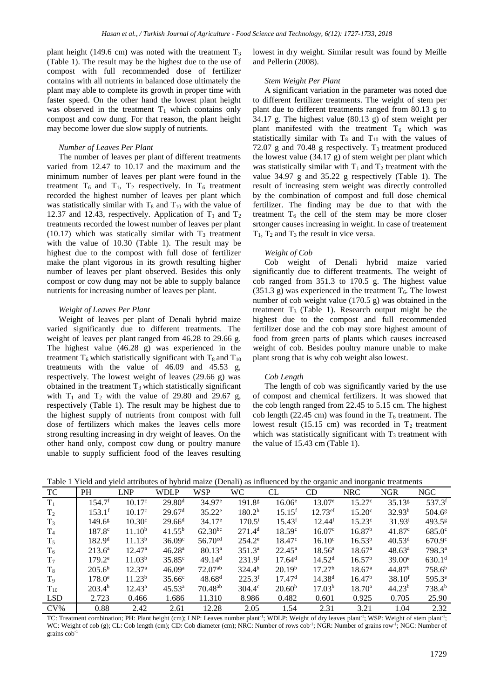plant height (149.6 cm) was noted with the treatment  $T_3$ (Table 1). The result may be the highest due to the use of compost with full recommended dose of fertilizer contains with all nutrients in balanced dose ultimately the plant may able to complete its growth in proper time with faster speed. On the other hand the lowest plant height was observed in the treatment  $T_1$  which contains only compost and cow dung. For that reason, the plant height may become lower due slow supply of nutrients.

# *Number of Leaves Per Plant*

The number of leaves per plant of different treatments varied from 12.47 to 10.17 and the maximum and the minimum number of leaves per plant were found in the treatment  $T_6$  and  $T_1$ ,  $T_2$  respectively. In  $T_6$  treatment recorded the highest number of leaves per plant which was statistically similar with  $T_8$  and  $T_{10}$  with the value of 12.37 and 12.43, respectively. Application of  $T_1$  and  $T_2$ treatments recorded the lowest number of leaves per plant  $(10.17)$  which was statically similar with  $T<sub>3</sub>$  treatment with the value of 10.30 (Table 1). The result may be highest due to the compost with full dose of fertilizer make the plant vigorous in its growth resulting higher number of leaves per plant observed. Besides this only compost or cow dung may not be able to supply balance nutrients for increasing number of leaves per plant.

#### *Weight of Leaves Per Plant*

Weight of leaves per plant of Denali hybrid maize varied significantly due to different treatments. The weight of leaves per plant ranged from 46.28 to 29.66 g. The highest value (46.28 g) was experienced in the treatment  $T_6$  which statistically significant with  $T_8$  and  $T_{10}$ treatments with the value of 46.09 and 45.53 g, respectively. The lowest weight of leaves (29.66 g) was obtained in the treatment  $T_3$  which statistically significant with  $T_1$  and  $T_2$  with the value of 29.80 and 29.67 g, respectively (Table 1). The result may be highest due to the highest supply of nutrients from compost with full dose of fertilizers which makes the leaves cells more strong resulting increasing in dry weight of leaves. On the other hand only, compost cow dung or poultry manure unable to supply sufficient food of the leaves resulting

lowest in dry weight. Similar result was found by Meille and Pellerin (2008).

# *Stem Weight Per Plant*

A significant variation in the parameter was noted due to different fertilizer treatments. The weight of stem per plant due to different treatments ranged from 80.13 g to 34.17 g. The highest value (80.13 g) of stem weight per plant manifested with the treatment  $T_6$  which was statistically similar with  $T_8$  and  $T_{10}$  with the values of 72.07 g and 70.48 g respectively.  $T_3$  treatment produced the lowest value (34.17 g) of stem weight per plant which was statistically similar with  $T_1$  and  $T_2$  treatment with the value 34.97 g and 35.22 g respectively (Table 1). The result of increasing stem weight was directly controlled by the combination of compost and full dose chemical fertilizer. The finding may be due to that with the treatment  $T<sub>6</sub>$  the cell of the stem may be more closer srtonger causes increasing in weight. In case of treatement  $T_1$ ,  $T_2$  and  $T_3$  the result in vice versa.

#### *Weight of Cob*

Cob weight of Denali hybrid maize varied significantly due to different treatments. The weight of cob ranged from 351.3 to 170.5 g. The highest value (351.3 g) was experienced in the treatment  $T_6$ . The lowest number of cob weight value (170.5 g) was obtained in the treatment  $T_3$  (Table 1). Research output might be the highest due to the compost and full recommended fertilizer dose and the cob may store highest amount of food from green parts of plants which causes increased weight of cob. Besides poultry manure unable to make plant srong that is why cob weight also lowest.

#### *Cob Length*

The length of cob was significantly varied by the use of compost and chemical fertilizers. It was showed that the cob length ranged from 22.45 to 5.15 cm. The highest cob length (22.45 cm) was found in the  $T_6$  treatment. The lowest result (15.15 cm) was recorded in  $T_2$  treatment which was statistically significant with  $T<sub>3</sub>$  treatment with the value of 15.43 cm (Table 1).

|  |  |  | Table 1 Yield and yield attributes of hybrid maize (Denali) as influenced by the organic and inorganic treatments |
|--|--|--|-------------------------------------------------------------------------------------------------------------------|
|  |  |  |                                                                                                                   |

|                |                    |                    |                    |                     |                    |                      | -- 0                  | -------            |                    |                      |
|----------------|--------------------|--------------------|--------------------|---------------------|--------------------|----------------------|-----------------------|--------------------|--------------------|----------------------|
| <b>TC</b>      | <b>PH</b>          | <b>LNP</b>         | <b>WDLP</b>        | <b>WSP</b>          | <b>WC</b>          | CL                   | CD                    | <b>NRC</b>         | <b>NGR</b>         | NGC                  |
| $T_1$          | 154.7 <sup>f</sup> | 10.17 <sup>c</sup> | 29.80 <sup>d</sup> | $34.97^{\circ}$     | 191.8 <sup>g</sup> | $16.06^e$            | $13.07^e$             | $15.27^{\circ}$    | 35.13 <sup>g</sup> | $537.3$ <sup>f</sup> |
| $T_2$          | $153.1^{\rm f}$    | 10.17c             | 29.67 <sup>d</sup> | $35.22^e$           | 180.2 <sup>h</sup> | $15.15$ <sup>f</sup> | $12.73$ <sup>ef</sup> | $15.20^{\circ}$    | 32.93 <sup>h</sup> | $504.6^{\circ}$      |
| $T_3$          | $149.6^{8}$        | 10.30 <sup>c</sup> | $29.66^{\rm d}$    | $34.17^e$           | $170.5^{\rm i}$    | $15.43^{\rm f}$      | 12.44 <sup>f</sup>    | 15.23 <sup>c</sup> | 31.93 <sup>1</sup> | $493.5^{8}$          |
| $T_4$          | $187.8^{\circ}$    | 11.10 <sup>b</sup> | $41.55^{b}$        | $62.30^{bc}$        | 271.4 <sup>d</sup> | 18.59c               | 16.07 <sup>c</sup>    | 16.87 <sup>b</sup> | 41.87c             | $685.0^{\circ}$      |
| $T_5$          | 182.9 <sup>d</sup> | 11.13 <sup>b</sup> | 36.09c             | 56.70 <sup>cd</sup> | $254.2^e$          | $18.47^{\circ}$      | $16.10^{\circ}$       | $16.53^{b}$        | 40.53 <sup>d</sup> | $670.9^{\circ}$      |
| $T_6$          | $213.6^a$          | $12.47^{\rm a}$    | 46.28 <sup>a</sup> | $80.13^{\rm a}$     | $351.3^{\circ}$    | $22.45^{\rm a}$      | $18.56^{\circ}$       | $18.67^{\rm a}$    | $48.63^{\rm a}$    | 798.3 <sup>a</sup>   |
| T <sub>7</sub> | $179.2^e$          | 11.03 <sup>b</sup> | $35.85^{\circ}$    | 49.14 <sup>d</sup>  | 231.9 <sup>f</sup> | 17.64 <sup>d</sup>   | 14.52 <sup>d</sup>    | 16.57 <sup>b</sup> | $39.00^e$          | 630.1 <sup>d</sup>   |
| $T_8$          | $205.6^b$          | 12.37 <sup>a</sup> | 46.09 <sup>a</sup> | $72.07^{ab}$        | $324.4^{b}$        | 20.19 <sup>b</sup>   | 17.27 <sup>b</sup>    | $18.67^{\rm a}$    | 44.87 <sup>b</sup> | 758.6 <sup>b</sup>   |
| $T_9$          | $178.0^e$          | 11.23 <sup>b</sup> | $35.66^{\circ}$    | $48.68^{d}$         | $225.3^{f}$        | 17.47 <sup>d</sup>   | 14.38 <sup>d</sup>    | 16.47 <sup>b</sup> | 38.10 <sup>f</sup> | 595.3 <sup>e</sup>   |
| $T_{10}$       | 203.4 <sup>b</sup> | $12.43^{\rm a}$    | $45.53^{\rm a}$    | $70.48^{ab}$        | $304.4^{\circ}$    | 20.60 <sup>b</sup>   | 17.03 <sup>b</sup>    | $18.70^{\rm a}$    | 44.23 <sup>b</sup> | 738.4 <sup>b</sup>   |
| <b>LSD</b>     | 2.723              | 0.466              | 1.686              | 11.310              | 8.986              | 0.482                | 0.601                 | 0.925              | 0.705              | 25.90                |
| $CV\%$         | 0.88               | 2.42               | 2.61               | 12.28               | 2.05               | 1.54                 | 2.31                  | 3.21               | 1.04               | 2.32                 |

TC: Treatment combination; PH: Plant height (cm); LNP: Leaves number plant<sup>-1</sup>; WDLP: Weight of dry leaves plant<sup>-1</sup>; WSP: Weight of stem plant<sup>-1</sup>; WC: Weight of cob (g); CL: Cob length (cm); CD: Cob diameter (cm); NRC: Number of rows cob<sup>-1</sup>; NGR: Number of grains row<sup>-1</sup>; NGC: Number of grains cob-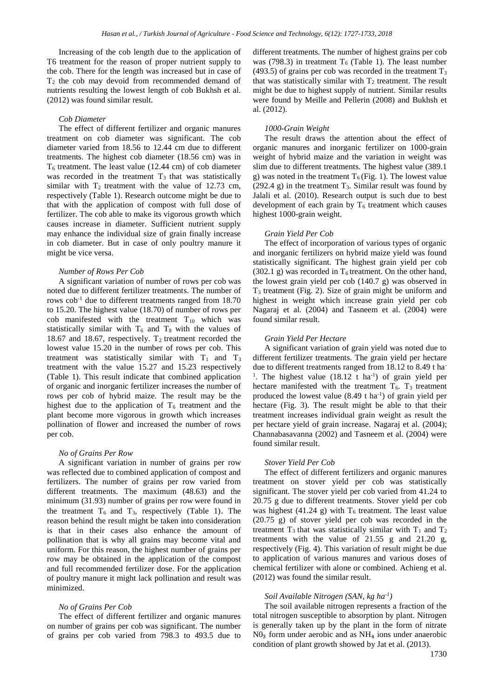Increasing of the cob length due to the application of T6 treatment for the reason of proper nutrient supply to the cob. There for the length was increased but in case of  $T_2$  the cob may devoid from recommended demand of nutrients resulting the lowest length of cob Bukhsh et al. (2012) was found similar result.

#### *Cob Diameter*

The effect of different fertilizer and organic manures treatment on cob diameter was significant. The cob diameter varied from 18.56 to 12.44 cm due to different treatments. The highest cob diameter (18.56 cm) was in  $T<sub>6</sub>$  treatment. The least value (12.44 cm) of cob diameter was recorded in the treatment  $T<sub>3</sub>$  that was statistically similar with  $T_2$  treatment with the value of 12.73 cm, respectively (Table 1). Research outcome might be due to that with the application of compost with full dose of fertilizer. The cob able to make its vigorous growth which causes increase in diameter. Sufficient nutrient supply may enhance the individual size of grain finally increase in cob diameter. But in case of only poultry manure it might be vice versa.

#### *Number of Rows Per Cob*

A significant variation of number of rows per cob was noted due to different fertilizer treatments. The number of rows cob-1 due to different treatments ranged from 18.70 to 15.20. The highest value (18.70) of number of rows per cob manifested with the treatment  $T_{10}$  which was statistically similar with  $T_6$  and  $T_8$  with the values of 18.67 and 18.67, respectively.  $T_2$  treatment recorded the lowest value 15.20 in the number of rows per cob. This treatment was statistically similar with  $T_1$  and  $T_3$ treatment with the value 15.27 and 15.23 respectively (Table 1). This result indicate that combined application of organic and inorganic fertilizer increases the number of rows per cob of hybrid maize. The result may be the highest due to the application of  $T_6$  treatment and the plant become more vigorous in growth which increases pollination of flower and increased the number of rows per cob.

# *No of Grains Per Row*

A significant variation in number of grains per row was reflected due to combined application of compost and fertilizers. The number of grains per row varied from different treatments. The maximum (48.63) and the minimum (31.93) number of grains per row were found in the treatment  $T_6$  and  $T_3$ , respectively (Table 1). The reason behind the result might be taken into consideration is that in their cases also enhance the amount of pollination that is why all grains may become vital and uniform. For this reason, the highest number of grains per row may be obtained in the application of the compost and full recommended fertilizer dose. For the application of poultry manure it might lack pollination and result was minimized.

#### *No of Grains Per Cob*

The effect of different fertilizer and organic manures on number of grains per cob was significant. The number of grains per cob varied from 798.3 to 493.5 due to different treatments. The number of highest grains per cob was (798.3) in treatment  $T_6$  (Table 1). The least number (493.5) of grains per cob was recorded in the treatment  $T_3$ that was statistically similar with  $T_2$  treatment. The result might be due to highest supply of nutrient. Similar results were found by Meille and Pellerin (2008) and Bukhsh et al. (2012).

# *1000-Grain Weight*

The result draws the attention about the effect of organic manures and inorganic fertilizer on 1000-grain weight of hybrid maize and the variation in weight was slim due to different treatments. The highest value (389.1 g) was noted in the treatment  $T_6$  (Fig. 1). The lowest value  $(292.4 \text{ g})$  in the treatment T<sub>3</sub>. Similar result was found by Jalali et al. (2010). Research output is such due to best development of each grain by  $T_6$  treatment which causes highest 1000-grain weight.

# *Grain Yield Per Cob*

The effect of incorporation of various types of organic and inorganic fertilizers on hybrid maize yield was found statistically significant. The highest grain yield per cob (302.1 g) was recorded in  $T_6$  treatment. On the other hand, the lowest grain yield per cob (140.7 g) was observed in  $T_3$  treatment (Fig. 2). Size of grain might be uniform and highest in weight which increase grain yield per cob Nagaraj et al. (2004) and Tasneem et al. (2004) were found similar result.

# *Grain Yield Per Hectare*

A significant variation of grain yield was noted due to different fertilizer treatments. The grain yield per hectare due to different treatments ranged from 18.12 to 8.49 t ha-<sup>1</sup>. The highest value  $(18.12 \text{ t} \text{ ha}^{-1})$  of grain yield per hectare manifested with the treatment  $T_6$ .  $T_3$  treatment produced the lowest value  $(8.49 \text{ t} \text{ ha}^{-1})$  of grain yield per hectare (Fig. 3). The result might be able to that their treatment increases individual grain weight as result the per hectare yield of grain increase. Nagaraj et al*.* (2004); Channabasavanna (2002) and Tasneem et al. (2004) were found similar result.

#### *Stover Yield Per Cob*

The effect of different fertilizers and organic manures treatment on stover yield per cob was statistically significant. The stover yield per cob varied from 41.24 to 20.75 g due to different treatments. Stover yield per cob was highest (41.24 g) with  $T_6$  treatment. The least value (20.75 g) of stover yield per cob was recorded in the treatment  $T_3$  that was statistically similar with  $T_1$  and  $T_2$ treatments with the value of 21.55 g and 21.20 g, respectively (Fig. 4). This variation of result might be due to application of various manures and various doses of chemical fertilizer with alone or combined. Achieng et al. (2012) was found the similar result.

# *Soil Available Nitrogen (SAN, kg ha-1 )*

The soil available nitrogen represents a fraction of the total nitrogen susceptible to absorption by plant. Nitrogen is generally taken up by the plant in the form of nitrate  $N_3$  form under aerobic and as  $NH_4$  ions under anaerobic condition of plant growth showed by Jat et al. (2013).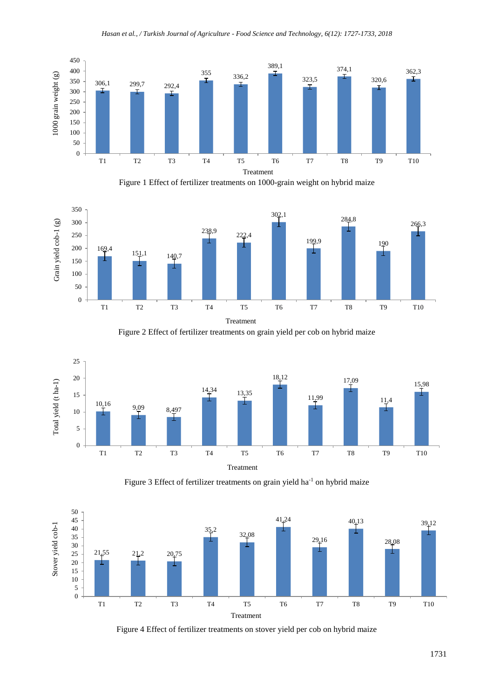

Figure 1 Effect of fertilizer treatments on 1000-grain weight on hybrid maize



Figure 2 Effect of fertilizer treatments on grain yield per cob on hybrid maize







Figure 4 Effect of fertilizer treatments on stover yield per cob on hybrid maize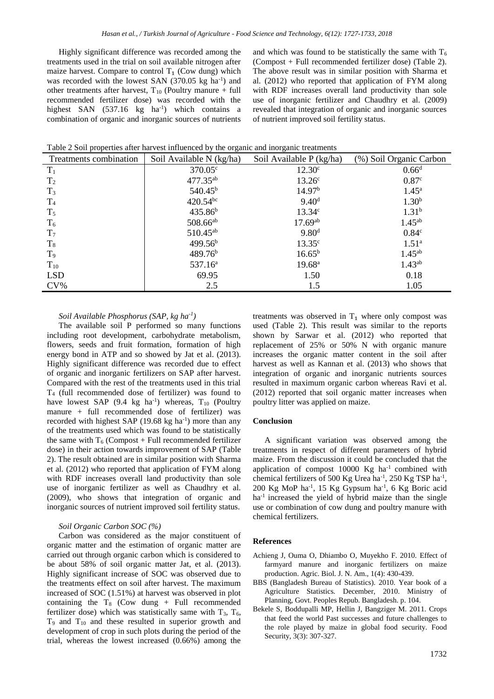Highly significant difference was recorded among the treatments used in the trial on soil available nitrogen after maize harvest. Compare to control  $T_1$  (Cow dung) which was recorded with the lowest SAN (370.05 kg ha<sup>-1</sup>) and other treatments after harvest,  $T_{10}$  (Poultry manure + full recommended fertilizer dose) was recorded with the highest SAN (537.16 kg ha<sup>-1</sup>) which contains a combination of organic and inorganic sources of nutrients

and which was found to be statistically the same with  $T_6$ (Compost + Full recommended fertilizer dose) (Table 2). The above result was in similar position with Sharma et al. (2012) who reported that application of FYM along with RDF increases overall land productivity than sole use of inorganic fertilizer and Chaudhry et al. (2009) revealed that integration of organic and inorganic sources of nutrient improved soil fertility status.

| Treatments combination | Soil Available N (kg/ha) | Soil Available P (kg/ha) | (%) Soil Organic Carbon |
|------------------------|--------------------------|--------------------------|-------------------------|
| $T_1$                  | $370.05^{\circ}$         | 12.30 <sup>c</sup>       | 0.66 <sup>d</sup>       |
| $T_2$                  | 477.35 <sup>ab</sup>     | 13.26 <sup>c</sup>       | 0.87 <sup>c</sup>       |
| $T_3$                  | $540.45^{\rm b}$         | 14.97 <sup>b</sup>       | $1.45^{\rm a}$          |
| T <sub>4</sub>         | $420.54^{bc}$            | 9.40 <sup>d</sup>        | 1.30 <sup>b</sup>       |
| $T_5$                  | 435.86 <sup>b</sup>      | 13.34c                   | 1.31 <sup>b</sup>       |
| $T_6$                  | $508.66^{ab}$            | $17.69^{ab}$             | $1.45^{ab}$             |
| $T_7$                  | $510.45^{ab}$            | 9.80 <sup>d</sup>        | 0.84 <sup>c</sup>       |
| $T_8$                  | 499.56 <sup>b</sup>      | 13.35 <sup>c</sup>       | $1.51^{\rm a}$          |
| T <sub>9</sub>         | 489.76 <sup>b</sup>      | $16.65^{b}$              | $1.45^{ab}$             |
| $T_{10}$               | 537.16 <sup>a</sup>      | $19.68^{\circ}$          | $1.43^{ab}$             |
| <b>LSD</b>             | 69.95                    | 1.50                     | 0.18                    |
| $CV\%$                 | 2.5                      | 1.5                      | 1.05                    |

Table 2 Soil properties after harvest influenced by the organic and inorganic treatments

# *Soil Available Phosphorus (SAP, kg ha-1 )*

The available soil P performed so many functions including root development, carbohydrate metabolism, flowers, seeds and fruit formation, formation of high energy bond in ATP and so showed by Jat et al. (2013). Highly significant difference was recorded due to effect of organic and inorganic fertilizers on SAP after harvest. Compared with the rest of the treatments used in this trial T<sup>4</sup> (full recommended dose of fertilizer) was found to have lowest SAP  $(9.4 \text{ kg} \text{ ha}^{-1})$  whereas,  $T_{10}$  (Poultry manure + full recommended dose of fertilizer) was recorded with highest SAP  $(19.68 \text{ kg ha}^{-1})$  more than any of the treatments used which was found to be statistically the same with  $T_6$  (Compost + Full recommended fertilizer dose) in their action towards improvement of SAP (Table 2). The result obtained are in similar position with Sharma et al. (2012) who reported that application of FYM along with RDF increases overall land productivity than sole use of inorganic fertilizer as well as Chaudhry et al. (2009), who shows that integration of organic and inorganic sources of nutrient improved soil fertility status.

# *Soil Organic Carbon SOC (%)*

Carbon was considered as the major constituent of organic matter and the estimation of organic matter are carried out through organic carbon which is considered to be about 58% of soil organic matter Jat, et al. (2013). Highly significant increase of SOC was observed due to the treatments effect on soil after harvest. The maximum increased of SOC (1.51%) at harvest was observed in plot containing the  $T_8$  (Cow dung + Full recommended fertilizer dose) which was statistically same with  $T_3$ ,  $T_6$ ,  $T_9$  and  $T_{10}$  and these resulted in superior growth and development of crop in such plots during the period of the trial, whereas the lowest increased (0.66%) among the

treatments was observed in  $T_1$  where only compost was used (Table 2). This result was similar to the reports shown by Sarwar et al. (2012) who reported that replacement of 25% or 50% N with organic manure increases the organic matter content in the soil after harvest as well as Kannan et al. (2013) who shows that integration of organic and inorganic nutrients sources resulted in maximum organic carbon whereas Ravi et al. (2012) reported that soil organic matter increases when poultry litter was applied on maize.

# **Conclusion**

A significant variation was observed among the treatments in respect of different parameters of hybrid maize. From the discussion it could be concluded that the application of compost  $10000$  Kg ha<sup>-1</sup> combined with chemical fertilizers of 500 Kg Urea ha<sup>-1</sup>, 250 Kg TSP ha<sup>-1</sup>, 200 Kg MoP ha-1 , 15 Kg Gypsum ha-1 , 6 Kg Boric acid ha<sup>-1</sup> increased the yield of hybrid maize than the single use or combination of cow dung and poultry manure with chemical fertilizers.

# **References**

- Achieng J, Ouma O, Dhiambo O, Muyekho F. 2010. Effect of farmyard manure and inorganic fertilizers on maize production. Agric. Biol. J. N. Am., 1(4): 430-439.
- BBS (Bangladesh Bureau of Statistics). 2010. Year book of a Agriculture Statistics. December, 2010. Ministry of Planning, Govt. Peoples Repub. Bangladesh. p. 104.
- Bekele S, Boddupalli MP, Hellin J, Bangziger M. 2011. Crops that feed the world Past successes and future challenges to the role played by maize in global food security. Food Security, 3(3): 307-327.